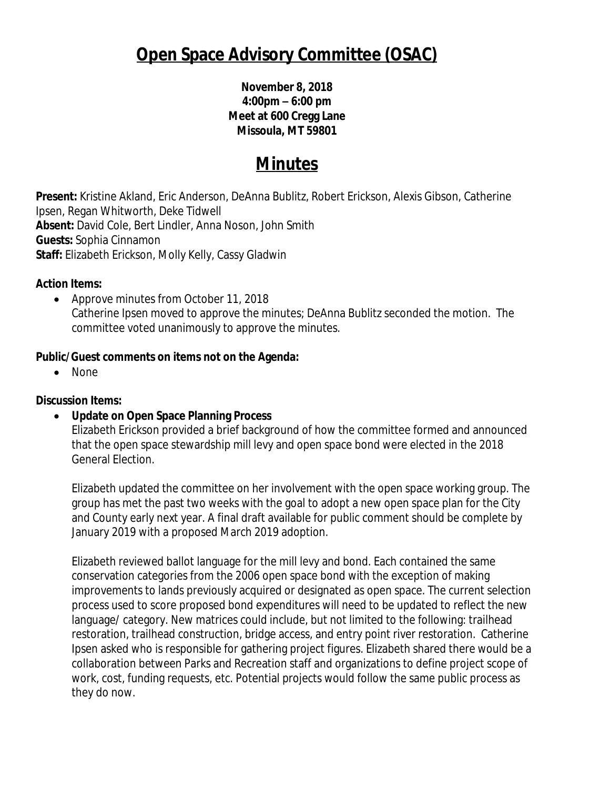# **Open Space Advisory Committee (OSAC)**

# **November 8, 2018 4:00pm – 6:00 pm Meet at 600 Cregg Lane Missoula, MT 59801**

# **Minutes**

**Present:** Kristine Akland, Eric Anderson, DeAnna Bublitz, Robert Erickson, Alexis Gibson, Catherine Ipsen, Regan Whitworth, Deke Tidwell **Absent:** David Cole, Bert Lindler, Anna Noson, John Smith **Guests:** Sophia Cinnamon **Staff:** Elizabeth Erickson, Molly Kelly, Cassy Gladwin

#### **Action Items:**

• Approve minutes from October 11, 2018 Catherine Ipsen moved to approve the minutes; DeAnna Bublitz seconded the motion. The committee voted unanimously to approve the minutes.

# **Public/Guest comments on items not on the Agenda:**

• None

# **Discussion Items:**

**Update on Open Space Planning Process**

Elizabeth Erickson provided a brief background of how the committee formed and announced that the open space stewardship mill levy and open space bond were elected in the 2018 General Election.

Elizabeth updated the committee on her involvement with the open space working group. The group has met the past two weeks with the goal to adopt a new open space plan for the City and County early next year. A final draft available for public comment should be complete by January 2019 with a proposed March 2019 adoption.

Elizabeth reviewed ballot language for the mill levy and bond. Each contained the same conservation categories from the 2006 open space bond with the exception of making improvements to lands previously acquired or designated as open space. The current selection process used to score proposed bond expenditures will need to be updated to reflect the new language/ category. New matrices could include, but not limited to the following: trailhead restoration, trailhead construction, bridge access, and entry point river restoration. Catherine Ipsen asked who is responsible for gathering project figures. Elizabeth shared there would be a collaboration between Parks and Recreation staff and organizations to define project scope of work, cost, funding requests, etc. Potential projects would follow the same public process as they do now.